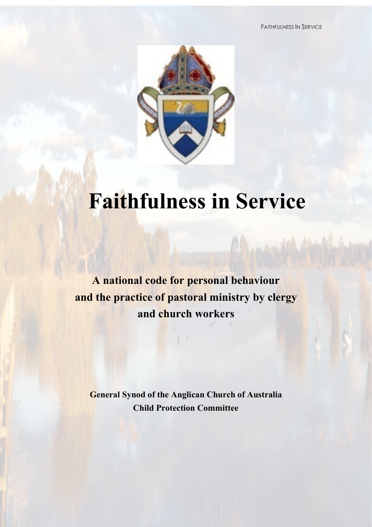FAITHFULNESS IN SERVICE



# **Faithfulness in Service**

**A national code for personal behaviour and the practice of pastoral ministry by clergy and church workers**

**General Synod of the Anglican Church of Australia Child Protection Committee**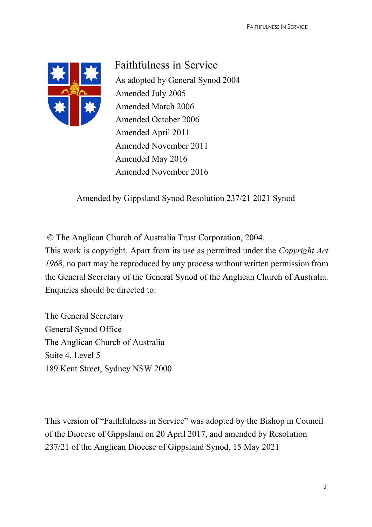

Faithfulness in Service As adopted by General Synod 2004 Amended July 2005 Amended March 2006 Amended October 2006 Amended April 2011 Amended November 2011 Amended May 2016 Amended November 2016

Amended by Gippsland Synod Resolution 237/21 2021 Synod

© The Anglican Church of Australia Trust Corporation, 2004.

This work is copyright. Apart from its use as permitted under the *Copyright Act 1968*, no part may be reproduced by any process without written permission from the General Secretary of the General Synod of the Anglican Church of Australia. Enquiries should be directed to:

The General Secretary General Synod Office The Anglican Church of Australia Suite 4, Level 5 189 Kent Street, Sydney NSW 2000

This version of "Faithfulness in Service" was adopted by the Bishop in Council of the Diocese of Gippsland on 20 April 2017, and amended by Resolution 237/21 of the Anglican Diocese of Gippsland Synod, 15 May 2021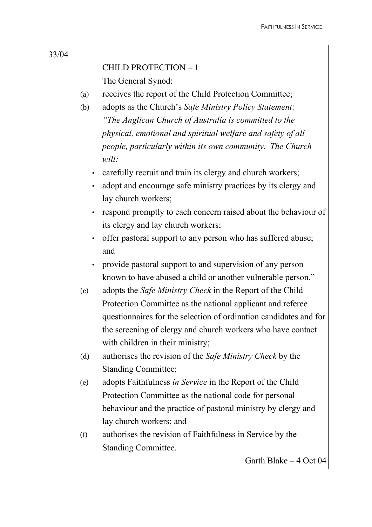## 33/04

# CHILD PROTECTION – 1 The General Synod:

(a) receives the report of the Child Protection Committee;

- (b) adopts as the Church's *Safe Ministry Policy Statement*: *"The Anglican Church of Australia is committed to the physical, emotional and spiritual welfare and safety of all people, particularly within its own community. The Church will:* 
	- carefully recruit and train its clergy and church workers;
	- adopt and encourage safe ministry practices by its clergy and lay church workers;
	- respond promptly to each concern raised about the behaviour of its clergy and lay church workers;
	- offer pastoral support to any person who has suffered abuse; and
	- provide pastoral support to and supervision of any person known to have abused a child or another vulnerable person."
- (c) adopts the *Safe Ministry Check* in the Report of the Child Protection Committee as the national applicant and referee questionnaires for the selection of ordination candidates and for the screening of clergy and church workers who have contact with children in their ministry;
- (d) authorises the revision of the *Safe Ministry Check* by the Standing Committee;
- (e) adopts Faithfulness *in Service* in the Report of the Child Protection Committee as the national code for personal behaviour and the practice of pastoral ministry by clergy and lay church workers; and
- (f) authorises the revision of Faithfulness in Service by the Standing Committee.

Garth Blake – 4 Oct 04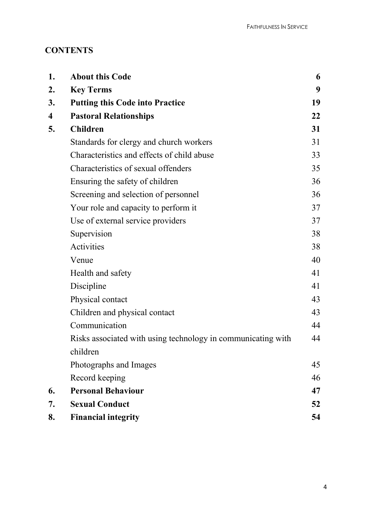# **CONTENTS**

| 1.                      | <b>About this Code</b>                                       | 6  |
|-------------------------|--------------------------------------------------------------|----|
| 2.                      | <b>Key Terms</b>                                             | 9  |
| 3.                      | <b>Putting this Code into Practice</b>                       | 19 |
| $\overline{\mathbf{4}}$ | <b>Pastoral Relationships</b>                                | 22 |
| 5.                      | <b>Children</b>                                              | 31 |
|                         | Standards for clergy and church workers                      | 31 |
|                         | Characteristics and effects of child abuse                   | 33 |
|                         | Characteristics of sexual offenders                          | 35 |
|                         | Ensuring the safety of children                              | 36 |
|                         | Screening and selection of personnel                         | 36 |
|                         | Your role and capacity to perform it                         | 37 |
|                         | Use of external service providers                            | 37 |
|                         | Supervision                                                  | 38 |
|                         | Activities                                                   | 38 |
|                         | Venue                                                        | 40 |
|                         | Health and safety                                            | 41 |
|                         | Discipline                                                   | 41 |
|                         | Physical contact                                             | 43 |
|                         | Children and physical contact                                | 43 |
|                         | Communication                                                | 44 |
|                         | Risks associated with using technology in communicating with | 44 |
|                         | children                                                     |    |
|                         | Photographs and Images                                       | 45 |
|                         | Record keeping                                               | 46 |
| 6.                      | <b>Personal Behaviour</b>                                    | 47 |
| 7.                      | <b>Sexual Conduct</b>                                        | 52 |
| 8.                      | <b>Financial integrity</b>                                   | 54 |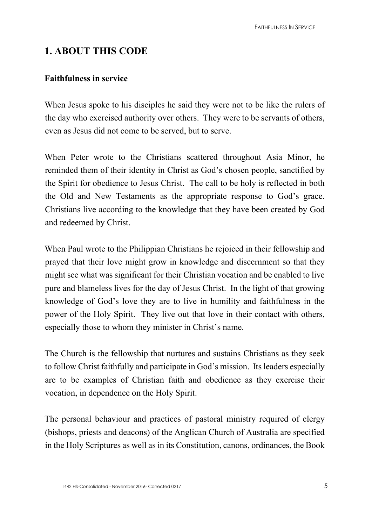# **1. ABOUT THIS CODE**

## **Faithfulness in service**

When Jesus spoke to his disciples he said they were not to be like the rulers of the day who exercised authority over others. They were to be servants of others, even as Jesus did not come to be served, but to serve.

When Peter wrote to the Christians scattered throughout Asia Minor, he reminded them of their identity in Christ as God's chosen people, sanctified by the Spirit for obedience to Jesus Christ. The call to be holy is reflected in both the Old and New Testaments as the appropriate response to God's grace. Christians live according to the knowledge that they have been created by God and redeemed by Christ.

When Paul wrote to the Philippian Christians he rejoiced in their fellowship and prayed that their love might grow in knowledge and discernment so that they might see what was significant for their Christian vocation and be enabled to live pure and blameless lives for the day of Jesus Christ. In the light of that growing knowledge of God's love they are to live in humility and faithfulness in the power of the Holy Spirit. They live out that love in their contact with others, especially those to whom they minister in Christ's name.

The Church is the fellowship that nurtures and sustains Christians as they seek to follow Christ faithfully and participate in God's mission. Its leaders especially are to be examples of Christian faith and obedience as they exercise their vocation, in dependence on the Holy Spirit.

The personal behaviour and practices of pastoral ministry required of clergy (bishops, priests and deacons) of the Anglican Church of Australia are specified in the Holy Scriptures as well as in its Constitution, canons, ordinances, the Book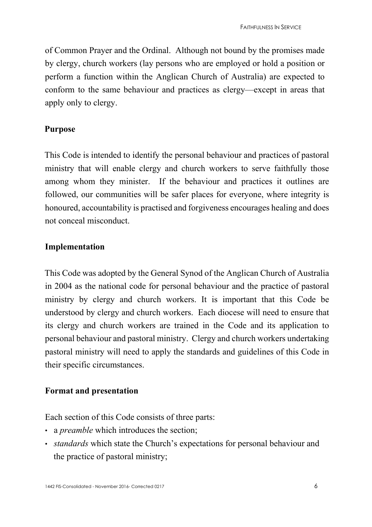of Common Prayer and the Ordinal. Although not bound by the promises made by clergy, church workers (lay persons who are employed or hold a position or perform a function within the Anglican Church of Australia) are expected to conform to the same behaviour and practices as clergy—except in areas that apply only to clergy.

## **Purpose**

This Code is intended to identify the personal behaviour and practices of pastoral ministry that will enable clergy and church workers to serve faithfully those among whom they minister. If the behaviour and practices it outlines are followed, our communities will be safer places for everyone, where integrity is honoured, accountability is practised and forgiveness encourages healing and does not conceal misconduct.

## **Implementation**

This Code was adopted by the General Synod of the Anglican Church of Australia in 2004 as the national code for personal behaviour and the practice of pastoral ministry by clergy and church workers. It is important that this Code be understood by clergy and church workers. Each diocese will need to ensure that its clergy and church workers are trained in the Code and its application to personal behaviour and pastoral ministry. Clergy and church workers undertaking pastoral ministry will need to apply the standards and guidelines of this Code in their specific circumstances.

## **Format and presentation**

Each section of this Code consists of three parts:

- a *preamble* which introduces the section;
- *standards* which state the Church's expectations for personal behaviour and the practice of pastoral ministry;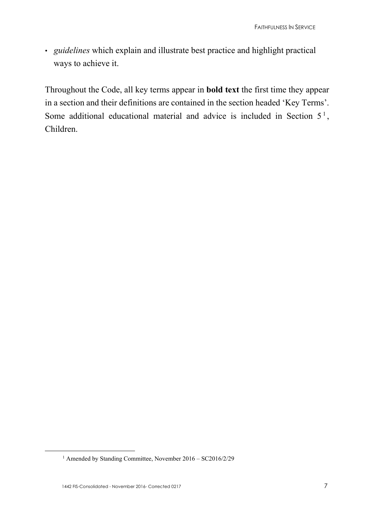• *guidelines* which explain and illustrate best practice and highlight practical ways to achieve it.

Throughout the Code, all key terms appear in **bold text** the first time they appear in a section and their definitions are contained in the section headed 'Key Terms'. Some additional educational material and advice is included in Section  $5<sup>1</sup>$  $5<sup>1</sup>$  $5<sup>1</sup>$ , Children.

<span id="page-6-0"></span><sup>1</sup> Amended by Standing Committee, November 2016 – SC2016/2/29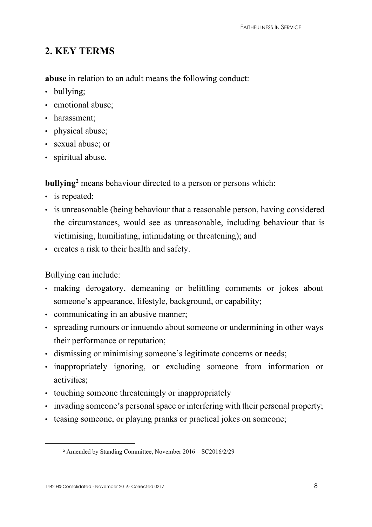# **2. KEY TERMS**

**abuse** in relation to an adult means the following conduct:

- bullying;
- emotional abuse;
- harassment:
- physical abuse;
- sexual abuse; or
- spiritual abuse.

**bullying[2](#page-7-0)** means behaviour directed to a person or persons which:

- is repeated;
- is unreasonable (being behaviour that a reasonable person, having considered the circumstances, would see as unreasonable, including behaviour that is victimising, humiliating, intimidating or threatening); and
- creates a risk to their health and safety.

Bullying can include:

- making derogatory, demeaning or belittling comments or jokes about someone's appearance, lifestyle, background, or capability;
- communicating in an abusive manner;
- spreading rumours or innuendo about someone or undermining in other ways their performance or reputation;
- dismissing or minimising someone's legitimate concerns or needs;
- inappropriately ignoring, or excluding someone from information or activities;
- touching someone threateningly or inappropriately
- invading someone's personal space or interfering with their personal property;
- <span id="page-7-0"></span>• teasing someone, or playing pranks or practical jokes on someone;

<sup>2</sup> Amended by Standing Committee, November 2016 – SC2016/2/29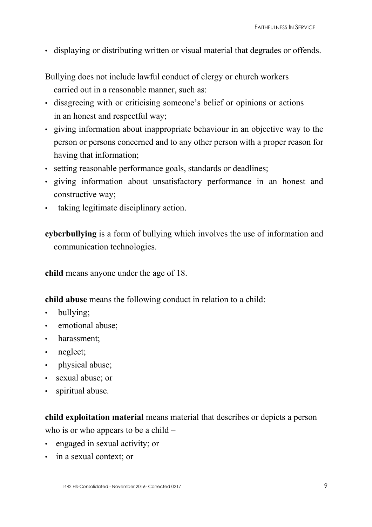• displaying or distributing written or visual material that degrades or offends.

Bullying does not include lawful conduct of clergy or church workers carried out in a reasonable manner, such as:

- disagreeing with or criticising someone's belief or opinions or actions in an honest and respectful way;
- giving information about inappropriate behaviour in an objective way to the person or persons concerned and to any other person with a proper reason for having that information;
- setting reasonable performance goals, standards or deadlines;
- giving information about unsatisfactory performance in an honest and constructive way;
- taking legitimate disciplinary action.

**cyberbullying** is a form of bullying which involves the use of information and communication technologies.

**child** means anyone under the age of 18.

**child abuse** means the following conduct in relation to a child:

- bullying;
- emotional abuse;
- harassment;
- neglect;
- physical abuse;
- sexual abuse; or
- spiritual abuse.

**child exploitation material** means material that describes or depicts a person who is or who appears to be a child –

- engaged in sexual activity; or
- in a sexual context; or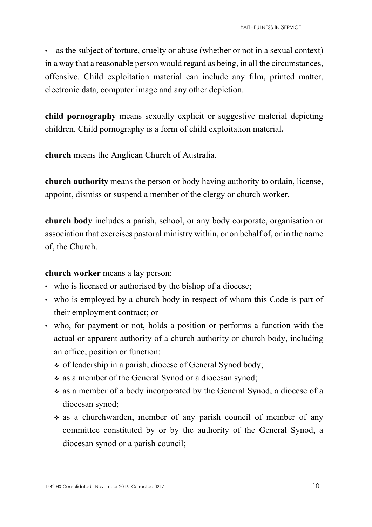as the subject of torture, cruelty or abuse (whether or not in a sexual context) in a way that a reasonable person would regard as being, in all the circumstances, offensive. Child exploitation material can include any film, printed matter, electronic data, computer image and any other depiction.

**child pornography** means sexually explicit or suggestive material depicting children. Child pornography is a form of child exploitation material**.** 

**church** means the Anglican Church of Australia.

**church authority** means the person or body having authority to ordain, license, appoint, dismiss or suspend a member of the clergy or church worker.

**church body** includes a parish, school, or any body corporate, organisation or association that exercises pastoral ministry within, or on behalf of, or in the name of, the Church.

**church worker** means a lay person:

- who is licensed or authorised by the bishop of a diocese;
- who is employed by a church body in respect of whom this Code is part of their employment contract; or
- who, for payment or not, holds a position or performs a function with the actual or apparent authority of a church authority or church body, including an office, position or function:
	- of leadership in a parish, diocese of General Synod body;
	- as a member of the General Synod or a diocesan synod;
	- as a member of a body incorporated by the General Synod, a diocese of a diocesan synod;
	- as a churchwarden, member of any parish council of member of any committee constituted by or by the authority of the General Synod, a diocesan synod or a parish council;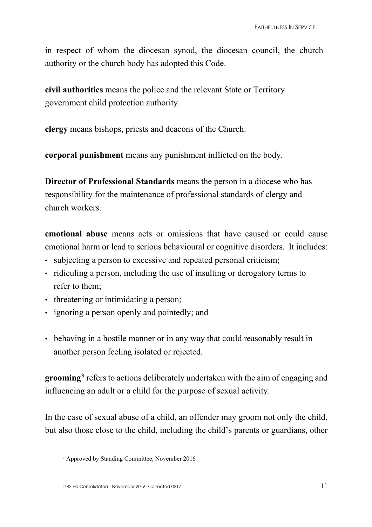in respect of whom the diocesan synod, the diocesan council, the church authority or the church body has adopted this Code.

**civil authorities** means the police and the relevant State or Territory government child protection authority.

**clergy** means bishops, priests and deacons of the Church.

**corporal punishment** means any punishment inflicted on the body.

**Director of Professional Standards** means the person in a diocese who has responsibility for the maintenance of professional standards of clergy and church workers.

**emotional abuse** means acts or omissions that have caused or could cause emotional harm or lead to serious behavioural or cognitive disorders. It includes:

- subjecting a person to excessive and repeated personal criticism;
- ridiculing a person, including the use of insulting or derogatory terms to refer to them;
- threatening or intimidating a person;
- ignoring a person openly and pointedly; and
- behaving in a hostile manner or in any way that could reasonably result in another person feeling isolated or rejected.

**grooming[3](#page-10-0)** refers to actions deliberately undertaken with the aim of engaging and influencing an adult or a child for the purpose of sexual activity.

<span id="page-10-0"></span>In the case of sexual abuse of a child, an offender may groom not only the child, but also those close to the child, including the child's parents or guardians, other

<sup>3</sup> Approved by Standing Committee, November 2016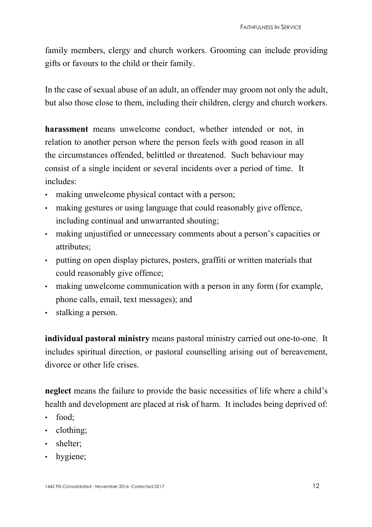family members, clergy and church workers. Grooming can include providing gifts or favours to the child or their family.

In the case of sexual abuse of an adult, an offender may groom not only the adult, but also those close to them, including their children, clergy and church workers.

**harassment** means unwelcome conduct, whether intended or not, in relation to another person where the person feels with good reason in all the circumstances offended, belittled or threatened. Such behaviour may consist of a single incident or several incidents over a period of time. It includes:

- making unwelcome physical contact with a person;
- making gestures or using language that could reasonably give offence, including continual and unwarranted shouting;
- making unjustified or unnecessary comments about a person's capacities or attributes;
- putting on open display pictures, posters, graffiti or written materials that could reasonably give offence;
- making unwelcome communication with a person in any form (for example, phone calls, email, text messages); and
- stalking a person.

**individual pastoral ministry** means pastoral ministry carried out one-to-one. It includes spiritual direction, or pastoral counselling arising out of bereavement, divorce or other life crises.

**neglect** means the failure to provide the basic necessities of life where a child's health and development are placed at risk of harm. It includes being deprived of:

- food;
- clothing:
- shelter;
- hygiene;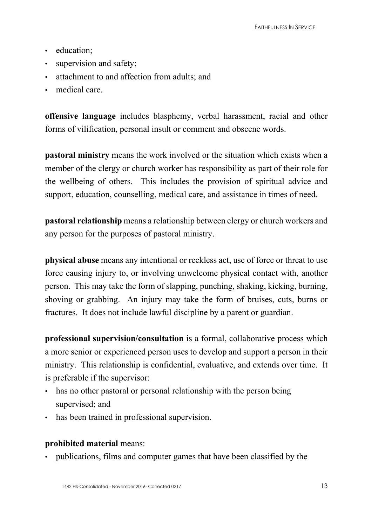- education:
- supervision and safety;
- attachment to and affection from adults; and
- medical care.

**offensive language** includes blasphemy, verbal harassment, racial and other forms of vilification, personal insult or comment and obscene words.

**pastoral ministry** means the work involved or the situation which exists when a member of the clergy or church worker has responsibility as part of their role for the wellbeing of others. This includes the provision of spiritual advice and support, education, counselling, medical care, and assistance in times of need.

**pastoral relationship** means a relationship between clergy or church workers and any person for the purposes of pastoral ministry.

**physical abuse** means any intentional or reckless act, use of force or threat to use force causing injury to, or involving unwelcome physical contact with, another person. This may take the form of slapping, punching, shaking, kicking, burning, shoving or grabbing. An injury may take the form of bruises, cuts, burns or fractures. It does not include lawful discipline by a parent or guardian.

**professional supervision/consultation** is a formal, collaborative process which a more senior or experienced person uses to develop and support a person in their ministry. This relationship is confidential, evaluative, and extends over time. It is preferable if the supervisor:

- has no other pastoral or personal relationship with the person being supervised; and
- has been trained in professional supervision.

## **prohibited material** means:

• publications, films and computer games that have been classified by the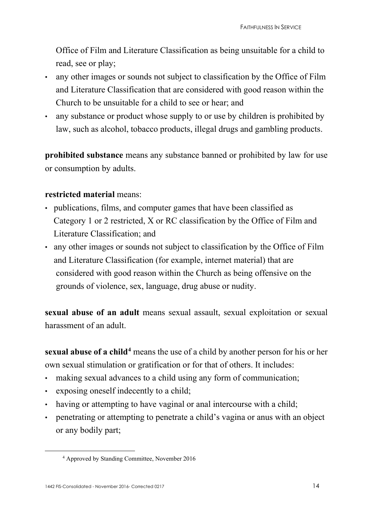Office of Film and Literature Classification as being unsuitable for a child to read, see or play;

- any other images or sounds not subject to classification by the Office of Film and Literature Classification that are considered with good reason within the Church to be unsuitable for a child to see or hear; and
- any substance or product whose supply to or use by children is prohibited by law, such as alcohol, tobacco products, illegal drugs and gambling products.

**prohibited substance** means any substance banned or prohibited by law for use or consumption by adults.

#### **restricted material** means:

- publications, films, and computer games that have been classified as Category 1 or 2 restricted, X or RC classification by the Office of Film and Literature Classification; and
- any other images or sounds not subject to classification by the Office of Film and Literature Classification (for example, internet material) that are considered with good reason within the Church as being offensive on the grounds of violence, sex, language, drug abuse or nudity.

**sexual abuse of an adult** means sexual assault, sexual exploitation or sexual harassment of an adult.

**sexual abuse of a child[4](#page-13-0)** means the use of a child by another person for his or her own sexual stimulation or gratification or for that of others. It includes:

- making sexual advances to a child using any form of communication;
- exposing oneself indecently to a child;
- having or attempting to have vaginal or anal intercourse with a child;
- <span id="page-13-0"></span>• penetrating or attempting to penetrate a child's vagina or anus with an object or any bodily part;

<sup>4</sup> Approved by Standing Committee, November 2016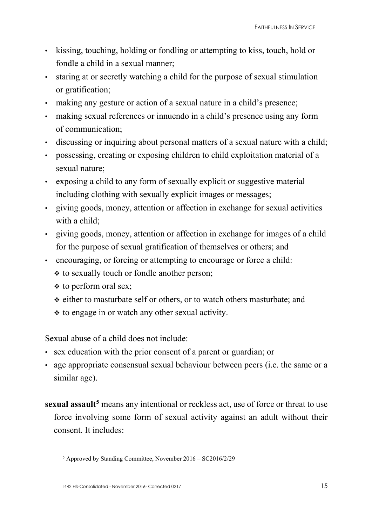- kissing, touching, holding or fondling or attempting to kiss, touch, hold or fondle a child in a sexual manner;
- staring at or secretly watching a child for the purpose of sexual stimulation or gratification;
- making any gesture or action of a sexual nature in a child's presence;
- making sexual references or innuendo in a child's presence using any form of communication;
- discussing or inquiring about personal matters of a sexual nature with a child;
- possessing, creating or exposing children to child exploitation material of a sexual nature;
- exposing a child to any form of sexually explicit or suggestive material including clothing with sexually explicit images or messages;
- giving goods, money, attention or affection in exchange for sexual activities with a child:
- giving goods, money, attention or affection in exchange for images of a child for the purpose of sexual gratification of themselves or others; and
- encouraging, or forcing or attempting to encourage or force a child:
	- to sexually touch or fondle another person;
	- $\div$  to perform oral sex;
	- either to masturbate self or others, or to watch others masturbate; and
	- $\cdot$  to engage in or watch any other sexual activity.

Sexual abuse of a child does not include:

- sex education with the prior consent of a parent or guardian; or
- age appropriate consensual sexual behaviour between peers (i.e. the same or a similar age).
- **sexual assault[5](#page-14-0)** means any intentional or reckless act, use of force or threat to use force involving some form of sexual activity against an adult without their consent. It includes:

<span id="page-14-0"></span><sup>5</sup> Approved by Standing Committee, November 2016 – SC2016/2/29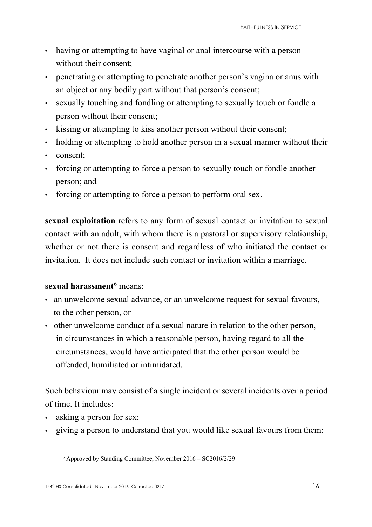- having or attempting to have vaginal or anal intercourse with a person without their consent;
- penetrating or attempting to penetrate another person's vagina or anus with an object or any bodily part without that person's consent;
- sexually touching and fondling or attempting to sexually touch or fondle a person without their consent;
- kissing or attempting to kiss another person without their consent;
- holding or attempting to hold another person in a sexual manner without their
- consent;
- forcing or attempting to force a person to sexually touch or fondle another person; and
- forcing or attempting to force a person to perform oral sex.

**sexual exploitation** refers to any form of sexual contact or invitation to sexual contact with an adult, with whom there is a pastoral or supervisory relationship, whether or not there is consent and regardless of who initiated the contact or invitation. It does not include such contact or invitation within a marriage.

## **sexual harassment[6](#page-15-0)** means:

- an unwelcome sexual advance, or an unwelcome request for sexual favours, to the other person, or
- other unwelcome conduct of a sexual nature in relation to the other person, in circumstances in which a reasonable person, having regard to all the circumstances, would have anticipated that the other person would be offended, humiliated or intimidated.

Such behaviour may consist of a single incident or several incidents over a period of time. It includes:

- asking a person for sex;
- <span id="page-15-0"></span>• giving a person to understand that you would like sexual favours from them;

<sup>6</sup> Approved by Standing Committee, November 2016 – SC2016/2/29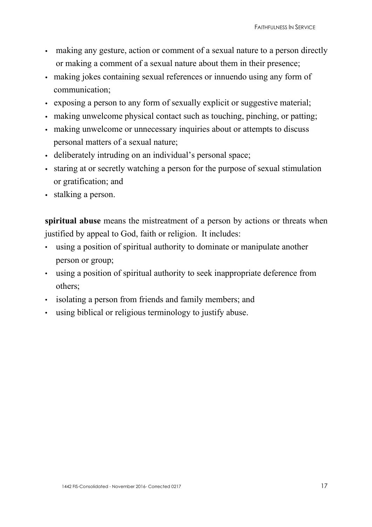- making any gesture, action or comment of a sexual nature to a person directly or making a comment of a sexual nature about them in their presence;
- making jokes containing sexual references or innuendo using any form of communication;
- exposing a person to any form of sexually explicit or suggestive material;
- making unwelcome physical contact such as touching, pinching, or patting;
- making unwelcome or unnecessary inquiries about or attempts to discuss personal matters of a sexual nature;
- deliberately intruding on an individual's personal space;
- staring at or secretly watching a person for the purpose of sexual stimulation or gratification; and
- stalking a person.

**spiritual abuse** means the mistreatment of a person by actions or threats when justified by appeal to God, faith or religion. It includes:

- using a position of spiritual authority to dominate or manipulate another person or group;
- using a position of spiritual authority to seek inappropriate deference from others;
- isolating a person from friends and family members; and
- using biblical or religious terminology to justify abuse.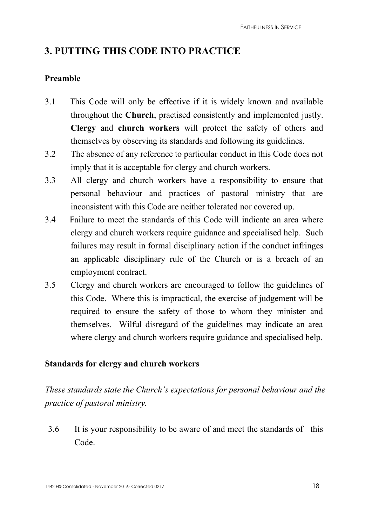# **3. PUTTING THIS CODE INTO PRACTICE**

## **Preamble**

- 3.1 This Code will only be effective if it is widely known and available throughout the **Church**, practised consistently and implemented justly. **Clergy** and **church workers** will protect the safety of others and themselves by observing its standards and following its guidelines.
- 3.2 The absence of any reference to particular conduct in this Code does not imply that it is acceptable for clergy and church workers.
- 3.3 All clergy and church workers have a responsibility to ensure that personal behaviour and practices of pastoral ministry that are inconsistent with this Code are neither tolerated nor covered up.
- 3.4 Failure to meet the standards of this Code will indicate an area where clergy and church workers require guidance and specialised help. Such failures may result in formal disciplinary action if the conduct infringes an applicable disciplinary rule of the Church or is a breach of an employment contract.
- 3.5 Clergy and church workers are encouraged to follow the guidelines of this Code. Where this is impractical, the exercise of judgement will be required to ensure the safety of those to whom they minister and themselves. Wilful disregard of the guidelines may indicate an area where clergy and church workers require guidance and specialised help.

## **Standards for clergy and church workers**

*These standards state the Church's expectations for personal behaviour and the practice of pastoral ministry.* 

3.6 It is your responsibility to be aware of and meet the standards of this Code.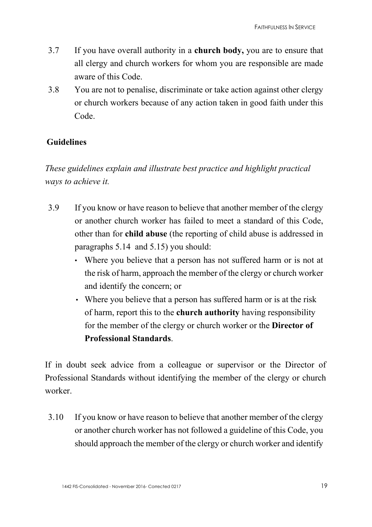- 3.7 If you have overall authority in a **church body,** you are to ensure that all clergy and church workers for whom you are responsible are made aware of this Code.
- 3.8 You are not to penalise, discriminate or take action against other clergy or church workers because of any action taken in good faith under this Code.

## **Guidelines**

*These guidelines explain and illustrate best practice and highlight practical ways to achieve it.* 

- 3.9 If you know or have reason to believe that another member of the clergy or another church worker has failed to meet a standard of this Code, other than for **child abuse** (the reporting of child abuse is addressed in paragraphs 5.14 and 5.15) you should:
	- Where you believe that a person has not suffered harm or is not at the risk of harm, approach the member of the clergy or church worker and identify the concern; or
	- Where you believe that a person has suffered harm or is at the risk of harm, report this to the **church authority** having responsibility for the member of the clergy or church worker or the **Director of Professional Standards**.

If in doubt seek advice from a colleague or supervisor or the Director of Professional Standards without identifying the member of the clergy or church worker.

3.10 If you know or have reason to believe that another member of the clergy or another church worker has not followed a guideline of this Code, you should approach the member of the clergy or church worker and identify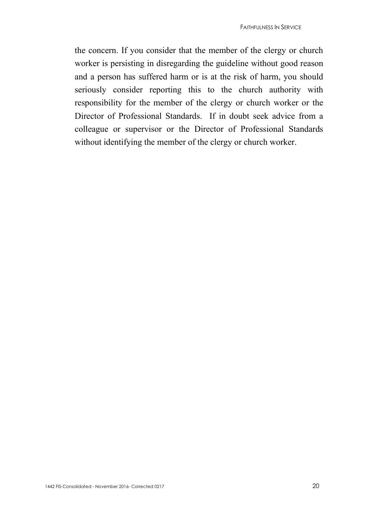the concern. If you consider that the member of the clergy or church worker is persisting in disregarding the guideline without good reason and a person has suffered harm or is at the risk of harm, you should seriously consider reporting this to the church authority with responsibility for the member of the clergy or church worker or the Director of Professional Standards. If in doubt seek advice from a colleague or supervisor or the Director of Professional Standards without identifying the member of the clergy or church worker.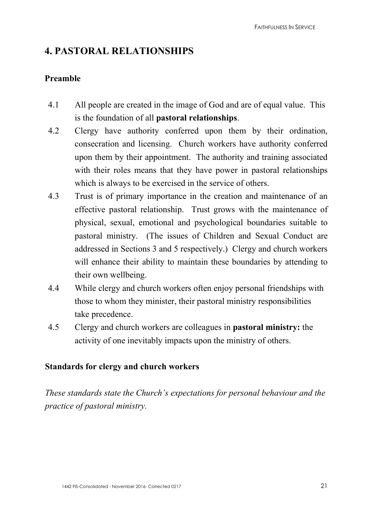# **4. PASTORAL RELATIONSHIPS**

## **Preamble**

- 4.1 All people are created in the image of God and are of equal value. This is the foundation of all **pastoral relationships**.
- 4.2 Clergy have authority conferred upon them by their ordination, consecration and licensing. Church workers have authority conferred upon them by their appointment. The authority and training associated with their roles means that they have power in pastoral relationships which is always to be exercised in the service of others.
- 4.3 Trust is of primary importance in the creation and maintenance of an effective pastoral relationship. Trust grows with the maintenance of physical, sexual, emotional and psychological boundaries suitable to pastoral ministry. (The issues of Children and Sexual Conduct are addressed in Sections 3 and 5 respectively.) Clergy and church workers will enhance their ability to maintain these boundaries by attending to their own wellbeing.
- 4.4 While clergy and church workers often enjoy personal friendships with those to whom they minister, their pastoral ministry responsibilities take precedence.
- 4.5 Clergy and church workers are colleagues in **pastoral ministry:** the activity of one inevitably impacts upon the ministry of others.

## **Standards for clergy and church workers**

*These standards state the Church's expectations for personal behaviour and the practice of pastoral ministry.*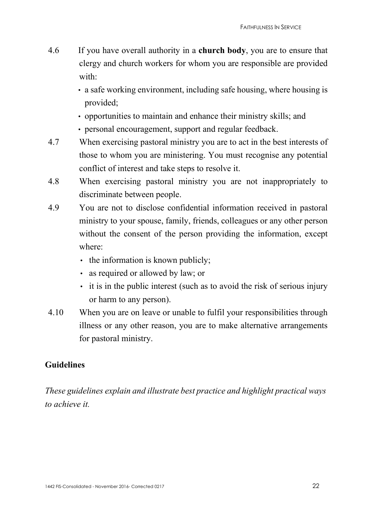- 4.6 If you have overall authority in a **church body**, you are to ensure that clergy and church workers for whom you are responsible are provided with:
	- a safe working environment, including safe housing, where housing is provided;
	- opportunities to maintain and enhance their ministry skills; and
	- personal encouragement, support and regular feedback.
- 4.7 When exercising pastoral ministry you are to act in the best interests of those to whom you are ministering. You must recognise any potential conflict of interest and take steps to resolve it.
- 4.8 When exercising pastoral ministry you are not inappropriately to discriminate between people.
- 4.9 You are not to disclose confidential information received in pastoral ministry to your spouse, family, friends, colleagues or any other person without the consent of the person providing the information, except where:
	- the information is known publicly;
	- as required or allowed by law; or
	- it is in the public interest (such as to avoid the risk of serious injury or harm to any person).
- 4.10 When you are on leave or unable to fulfil your responsibilities through illness or any other reason, you are to make alternative arrangements for pastoral ministry.

## **Guidelines**

*These guidelines explain and illustrate best practice and highlight practical ways to achieve it.*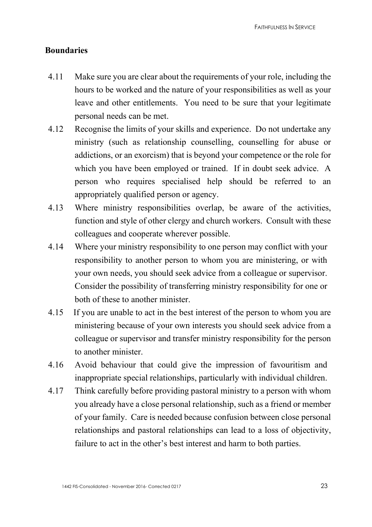## **Boundaries**

- 4.11 Make sure you are clear about the requirements of your role, including the hours to be worked and the nature of your responsibilities as well as your leave and other entitlements. You need to be sure that your legitimate personal needs can be met.
- 4.12 Recognise the limits of your skills and experience. Do not undertake any ministry (such as relationship counselling, counselling for abuse or addictions, or an exorcism) that is beyond your competence or the role for which you have been employed or trained. If in doubt seek advice. A person who requires specialised help should be referred to an appropriately qualified person or agency.
- 4.13 Where ministry responsibilities overlap, be aware of the activities, function and style of other clergy and church workers. Consult with these colleagues and cooperate wherever possible.
- 4.14 Where your ministry responsibility to one person may conflict with your responsibility to another person to whom you are ministering, or with your own needs, you should seek advice from a colleague or supervisor. Consider the possibility of transferring ministry responsibility for one or both of these to another minister.
- 4.15 If you are unable to act in the best interest of the person to whom you are ministering because of your own interests you should seek advice from a colleague or supervisor and transfer ministry responsibility for the person to another minister.
- 4.16 Avoid behaviour that could give the impression of favouritism and inappropriate special relationships, particularly with individual children.
- 4.17 Think carefully before providing pastoral ministry to a person with whom you already have a close personal relationship, such as a friend or member of your family. Care is needed because confusion between close personal relationships and pastoral relationships can lead to a loss of objectivity, failure to act in the other's best interest and harm to both parties.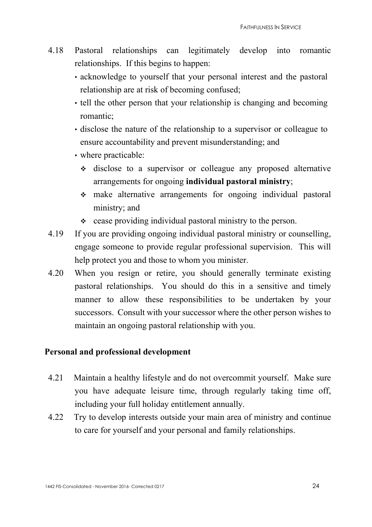- 4.18 Pastoral relationships can legitimately develop into romantic relationships. If this begins to happen:
	- acknowledge to yourself that your personal interest and the pastoral relationship are at risk of becoming confused;
	- tell the other person that your relationship is changing and becoming romantic;
	- disclose the nature of the relationship to a supervisor or colleague to ensure accountability and prevent misunderstanding; and
	- where practicable:
		- disclose to a supervisor or colleague any proposed alternative arrangements for ongoing **individual pastoral ministry**;
		- make alternative arrangements for ongoing individual pastoral ministry; and
		- cease providing individual pastoral ministry to the person.
- 4.19 If you are providing ongoing individual pastoral ministry or counselling, engage someone to provide regular professional supervision. This will help protect you and those to whom you minister.
- 4.20 When you resign or retire, you should generally terminate existing pastoral relationships. You should do this in a sensitive and timely manner to allow these responsibilities to be undertaken by your successors. Consult with your successor where the other person wishes to maintain an ongoing pastoral relationship with you.

#### **Personal and professional development**

- 4.21 Maintain a healthy lifestyle and do not overcommit yourself. Make sure you have adequate leisure time, through regularly taking time off, including your full holiday entitlement annually.
- 4.22 Try to develop interests outside your main area of ministry and continue to care for yourself and your personal and family relationships.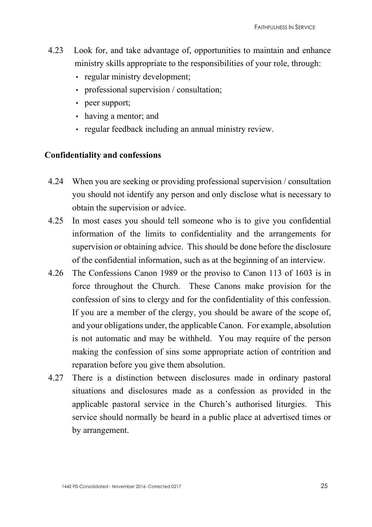- 4.23 Look for, and take advantage of, opportunities to maintain and enhance ministry skills appropriate to the responsibilities of your role, through:
	- regular ministry development;
	- professional supervision / consultation;
	- peer support;
	- having a mentor; and
	- regular feedback including an annual ministry review.

#### **Confidentiality and confessions**

- 4.24 When you are seeking or providing professional supervision / consultation you should not identify any person and only disclose what is necessary to obtain the supervision or advice.
- 4.25 In most cases you should tell someone who is to give you confidential information of the limits to confidentiality and the arrangements for supervision or obtaining advice. This should be done before the disclosure of the confidential information, such as at the beginning of an interview.
- 4.26 The Confessions Canon 1989 or the proviso to Canon 113 of 1603 is in force throughout the Church. These Canons make provision for the confession of sins to clergy and for the confidentiality of this confession. If you are a member of the clergy, you should be aware of the scope of, and your obligations under, the applicable Canon. For example, absolution is not automatic and may be withheld. You may require of the person making the confession of sins some appropriate action of contrition and reparation before you give them absolution.
- 4.27 There is a distinction between disclosures made in ordinary pastoral situations and disclosures made as a confession as provided in the applicable pastoral service in the Church's authorised liturgies. This service should normally be heard in a public place at advertised times or by arrangement.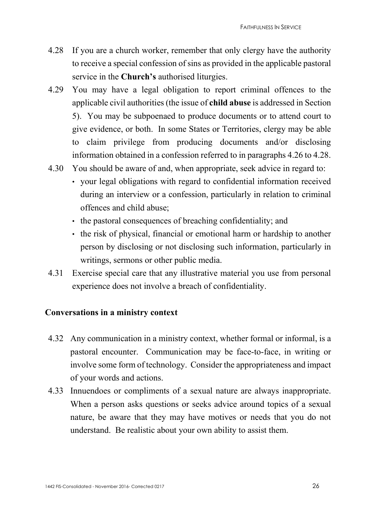- 4.28 If you are a church worker, remember that only clergy have the authority to receive a special confession of sins as provided in the applicable pastoral service in the **Church's** authorised liturgies.
- 4.29 You may have a legal obligation to report criminal offences to the applicable civil authorities (the issue of **child abuse** is addressed in Section 5). You may be subpoenaed to produce documents or to attend court to give evidence, or both. In some States or Territories, clergy may be able to claim privilege from producing documents and/or disclosing information obtained in a confession referred to in paragraphs 4.26 to 4.28.
- 4.30 You should be aware of and, when appropriate, seek advice in regard to:
	- your legal obligations with regard to confidential information received during an interview or a confession, particularly in relation to criminal offences and child abuse;
	- the pastoral consequences of breaching confidentiality; and
	- the risk of physical, financial or emotional harm or hardship to another person by disclosing or not disclosing such information, particularly in writings, sermons or other public media.
- 4.31 Exercise special care that any illustrative material you use from personal experience does not involve a breach of confidentiality.

## **Conversations in a ministry context**

- 4.32 Any communication in a ministry context, whether formal or informal, is a pastoral encounter. Communication may be face-to-face, in writing or involve some form of technology. Consider the appropriateness and impact of your words and actions.
- 4.33 Innuendoes or compliments of a sexual nature are always inappropriate. When a person asks questions or seeks advice around topics of a sexual nature, be aware that they may have motives or needs that you do not understand. Be realistic about your own ability to assist them.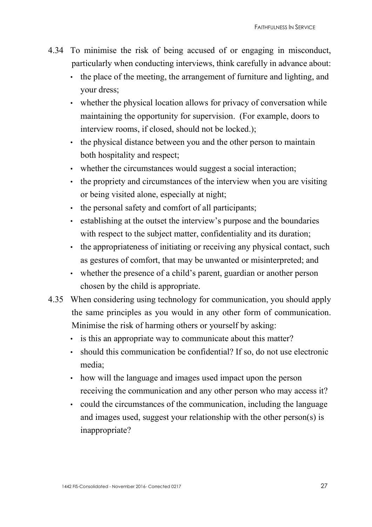- 4.34 To minimise the risk of being accused of or engaging in misconduct, particularly when conducting interviews, think carefully in advance about:
	- the place of the meeting, the arrangement of furniture and lighting, and your dress;
	- whether the physical location allows for privacy of conversation while maintaining the opportunity for supervision. (For example, doors to interview rooms, if closed, should not be locked.);
	- the physical distance between you and the other person to maintain both hospitality and respect;
	- whether the circumstances would suggest a social interaction;
	- the propriety and circumstances of the interview when you are visiting or being visited alone, especially at night;
	- the personal safety and comfort of all participants;
	- establishing at the outset the interview's purpose and the boundaries with respect to the subject matter, confidentiality and its duration;
	- the appropriateness of initiating or receiving any physical contact, such as gestures of comfort, that may be unwanted or misinterpreted; and
	- whether the presence of a child's parent, guardian or another person chosen by the child is appropriate.
- 4.35 When considering using technology for communication, you should apply the same principles as you would in any other form of communication. Minimise the risk of harming others or yourself by asking:
	- is this an appropriate way to communicate about this matter?
	- should this communication be confidential? If so, do not use electronic media;
	- how will the language and images used impact upon the person receiving the communication and any other person who may access it?
	- could the circumstances of the communication, including the language and images used, suggest your relationship with the other person(s) is inappropriate?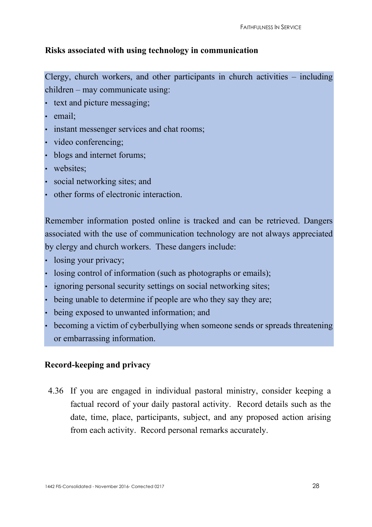## **Risks associated with using technology in communication**

Clergy, church workers, and other participants in church activities – including children – may communicate using:

- text and picture messaging;
- email;
- instant messenger services and chat rooms;
- video conferencing;
- blogs and internet forums;
- websites:
- social networking sites; and
- other forms of electronic interaction.

Remember information posted online is tracked and can be retrieved. Dangers associated with the use of communication technology are not always appreciated by clergy and church workers. These dangers include:

- losing your privacy;
- losing control of information (such as photographs or emails);
- ignoring personal security settings on social networking sites;
- being unable to determine if people are who they say they are;
- being exposed to unwanted information; and
- becoming a victim of cyberbullying when someone sends or spreads threatening or embarrassing information.

#### **Record-keeping and privacy**

4.36 If you are engaged in individual pastoral ministry, consider keeping a factual record of your daily pastoral activity. Record details such as the date, time, place, participants, subject, and any proposed action arising from each activity. Record personal remarks accurately.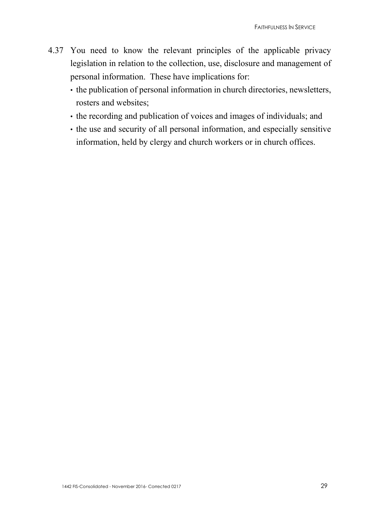- 4.37 You need to know the relevant principles of the applicable privacy legislation in relation to the collection, use, disclosure and management of personal information. These have implications for:
	- the publication of personal information in church directories, newsletters, rosters and websites;
	- the recording and publication of voices and images of individuals; and
	- the use and security of all personal information, and especially sensitive information, held by clergy and church workers or in church offices.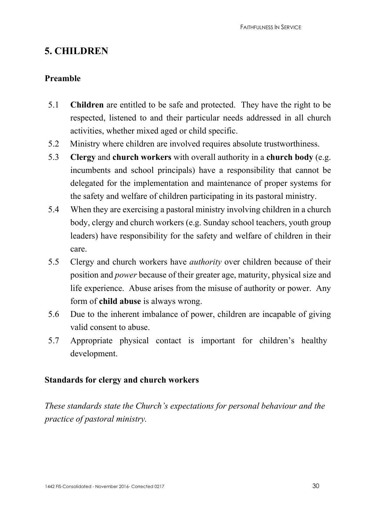# **5. CHILDREN**

## **Preamble**

- 5.1 **Children** are entitled to be safe and protected. They have the right to be respected, listened to and their particular needs addressed in all church activities, whether mixed aged or child specific.
- 5.2 Ministry where children are involved requires absolute trustworthiness.
- 5.3 **Clergy** and **church workers** with overall authority in a **church body** (e.g. incumbents and school principals) have a responsibility that cannot be delegated for the implementation and maintenance of proper systems for the safety and welfare of children participating in its pastoral ministry.
- 5.4 When they are exercising a pastoral ministry involving children in a church body, clergy and church workers (e.g. Sunday school teachers, youth group leaders) have responsibility for the safety and welfare of children in their care.
- 5.5 Clergy and church workers have *authority* over children because of their position and *power* because of their greater age, maturity, physical size and life experience. Abuse arises from the misuse of authority or power. Any form of **child abuse** is always wrong.
- 5.6 Due to the inherent imbalance of power, children are incapable of giving valid consent to abuse.
- 5.7 Appropriate physical contact is important for children's healthy development.

## **Standards for clergy and church workers**

*These standards state the Church's expectations for personal behaviour and the practice of pastoral ministry.*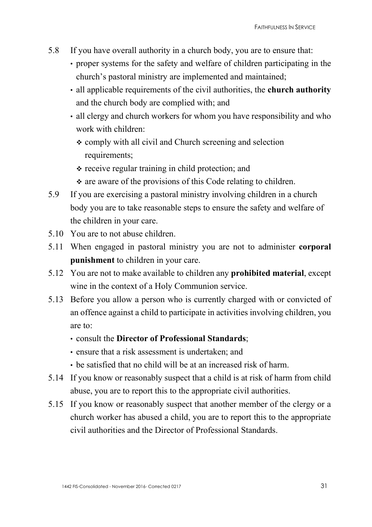- 5.8 If you have overall authority in a church body, you are to ensure that:
	- proper systems for the safety and welfare of children participating in the church's pastoral ministry are implemented and maintained;
	- all applicable requirements of the civil authorities, the **church authority**  and the church body are complied with; and
	- all clergy and church workers for whom you have responsibility and who work with children:
		- comply with all civil and Church screening and selection requirements;
		- $\div$  receive regular training in child protection; and
		- $\cdot$  are aware of the provisions of this Code relating to children.
- 5.9 If you are exercising a pastoral ministry involving children in a church body you are to take reasonable steps to ensure the safety and welfare of the children in your care.
- 5.10 You are to not abuse children.
- 5.11 When engaged in pastoral ministry you are not to administer **corporal punishment** to children in your care.
- 5.12 You are not to make available to children any **prohibited material**, except wine in the context of a Holy Communion service.
- 5.13 Before you allow a person who is currently charged with or convicted of an offence against a child to participate in activities involving children, you are to:
	- consult the **Director of Professional Standards**;
	- ensure that a risk assessment is undertaken; and
	- be satisfied that no child will be at an increased risk of harm.
- 5.14 If you know or reasonably suspect that a child is at risk of harm from child abuse, you are to report this to the appropriate civil authorities.
- 5.15 If you know or reasonably suspect that another member of the clergy or a church worker has abused a child, you are to report this to the appropriate civil authorities and the Director of Professional Standards.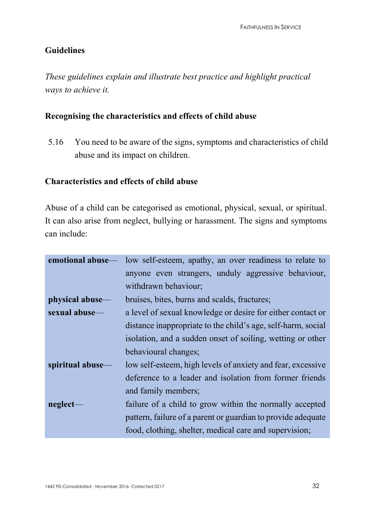## **Guidelines**

*These guidelines explain and illustrate best practice and highlight practical ways to achieve it.* 

## **Recognising the characteristics and effects of child abuse**

5.16 You need to be aware of the signs, symptoms and characteristics of child abuse and its impact on children.

#### **Characteristics and effects of child abuse**

Abuse of a child can be categorised as emotional, physical, sexual, or spiritual. It can also arise from neglect, bullying or harassment. The signs and symptoms can include:

|                  | <b>emotional abuse</b> — low self-esteem, apathy, an over readiness to relate to |  |
|------------------|----------------------------------------------------------------------------------|--|
|                  | anyone even strangers, unduly aggressive behaviour,                              |  |
|                  | withdrawn behaviour;                                                             |  |
| physical abuse—  | bruises, bites, burns and scalds, fractures;                                     |  |
| sexual abuse—    | a level of sexual knowledge or desire for either contact or                      |  |
|                  | distance inappropriate to the child's age, self-harm, social                     |  |
|                  | isolation, and a sudden onset of soiling, wetting or other                       |  |
|                  | behavioural changes;                                                             |  |
| spiritual abuse— | low self-esteem, high levels of anxiety and fear, excessive                      |  |
|                  | deference to a leader and isolation from former friends                          |  |
|                  | and family members;                                                              |  |
| neglect-         | failure of a child to grow within the normally accepted                          |  |
|                  | pattern, failure of a parent or guardian to provide adequate                     |  |
|                  | food, clothing, shelter, medical care and supervision;                           |  |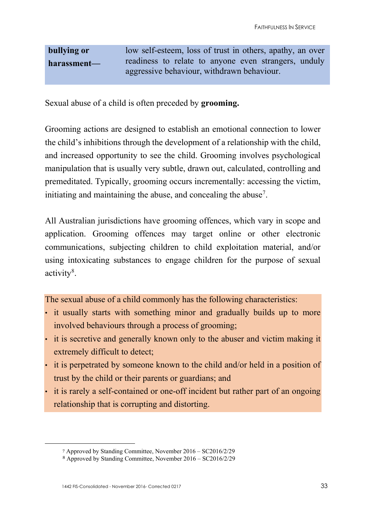**bullying or harassment** low self-esteem, loss of trust in others, apathy, an over readiness to relate to anyone even strangers, unduly aggressive behaviour, withdrawn behaviour.

Sexual abuse of a child is often preceded by **grooming.**

Grooming actions are designed to establish an emotional connection to lower the child's inhibitions through the development of a relationship with the child, and increased opportunity to see the child. Grooming involves psychological manipulation that is usually very subtle, drawn out, calculated, controlling and premeditated. Typically, grooming occurs incrementally: accessing the victim, initiating and maintaining the abuse, and concealing the abuse<sup>7</sup>.

All Australian jurisdictions have grooming offences, which vary in scope and application. Grooming offences may target online or other electronic communications, subjecting children to child exploitation material, and/or using intoxicating substances to engage children for the purpose of sexual activity<sup>8</sup>.

The sexual abuse of a child commonly has the following characteristics:

- it usually starts with something minor and gradually builds up to more involved behaviours through a process of grooming;
- it is secretive and generally known only to the abuser and victim making it extremely difficult to detect;
- it is perpetrated by someone known to the child and/or held in a position of trust by the child or their parents or guardians; and
- it is rarely a self-contained or one-off incident but rather part of an ongoing relationship that is corrupting and distorting.

<span id="page-32-0"></span><sup>7</sup> Approved by Standing Committee, November 2016 – SC2016/2/29

<span id="page-32-1"></span><sup>8</sup> Approved by Standing Committee, November 2016 – SC2016/2/29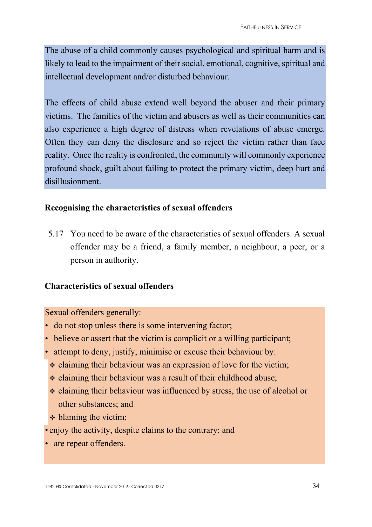The abuse of a child commonly causes psychological and spiritual harm and is likely to lead to the impairment of their social, emotional, cognitive, spiritual and intellectual development and/or disturbed behaviour.

The effects of child abuse extend well beyond the abuser and their primary victims. The families of the victim and abusers as well as their communities can also experience a high degree of distress when revelations of abuse emerge. Often they can deny the disclosure and so reject the victim rather than face reality. Once the reality is confronted, the community will commonly experience profound shock, guilt about failing to protect the primary victim, deep hurt and disillusionment.

## **Recognising the characteristics of sexual offenders**

5.17 You need to be aware of the characteristics of sexual offenders. A sexual offender may be a friend, a family member, a neighbour, a peer, or a person in authority.

## **Characteristics of sexual offenders**

Sexual offenders generally:

- do not stop unless there is some intervening factor;
- believe or assert that the victim is complicit or a willing participant;
- attempt to deny, justify, minimise or excuse their behaviour by:
- claiming their behaviour was an expression of love for the victim;
- $\cdot$  claiming their behaviour was a result of their childhood abuse;
- claiming their behaviour was influenced by stress, the use of alcohol or other substances; and
- $\triangleleft$  blaming the victim;
- enjoy the activity, despite claims to the contrary; and
- are repeat offenders.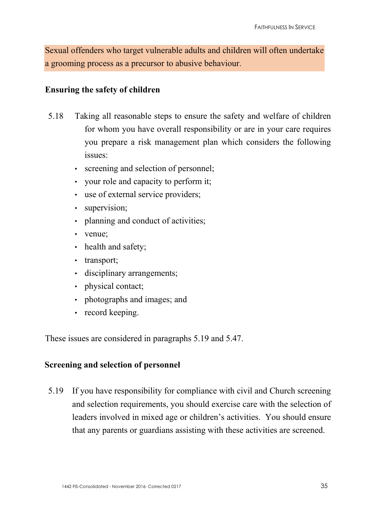Sexual offenders who target vulnerable adults and children will often undertake a grooming process as a precursor to abusive behaviour.

#### **Ensuring the safety of children**

- 5.18 Taking all reasonable steps to ensure the safety and welfare of children for whom you have overall responsibility or are in your care requires you prepare a risk management plan which considers the following issues:
	- screening and selection of personnel;
	- your role and capacity to perform it;
	- use of external service providers;
	- supervision;
	- planning and conduct of activities;
	- venue;
	- health and safety;
	- transport;
	- disciplinary arrangements;
	- physical contact;
	- photographs and images; and
	- record keeping.

These issues are considered in paragraphs 5.19 and 5.47.

## **Screening and selection of personnel**

5.19 If you have responsibility for compliance with civil and Church screening and selection requirements, you should exercise care with the selection of leaders involved in mixed age or children's activities. You should ensure that any parents or guardians assisting with these activities are screened.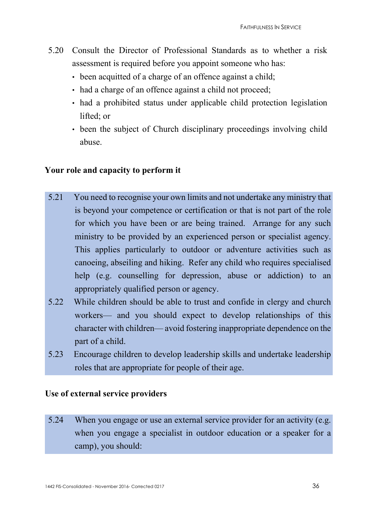- 5.20 Consult the Director of Professional Standards as to whether a risk assessment is required before you appoint someone who has:
	- been acquitted of a charge of an offence against a child:
	- had a charge of an offence against a child not proceed;
	- had a prohibited status under applicable child protection legislation lifted; or
	- been the subject of Church disciplinary proceedings involving child abuse.

## **Your role and capacity to perform it**

- 5.21 You need to recognise your own limits and not undertake any ministry that is beyond your competence or certification or that is not part of the role for which you have been or are being trained. Arrange for any such ministry to be provided by an experienced person or specialist agency. This applies particularly to outdoor or adventure activities such as canoeing, abseiling and hiking. Refer any child who requires specialised help (e.g. counselling for depression, abuse or addiction) to an appropriately qualified person or agency.
- 5.22 While children should be able to trust and confide in clergy and church workers— and you should expect to develop relationships of this character with children— avoid fostering inappropriate dependence on the part of a child.
- 5.23 Encourage children to develop leadership skills and undertake leadership roles that are appropriate for people of their age.

## **Use of external service providers**

5.24 When you engage or use an external service provider for an activity (e.g. when you engage a specialist in outdoor education or a speaker for a camp), you should: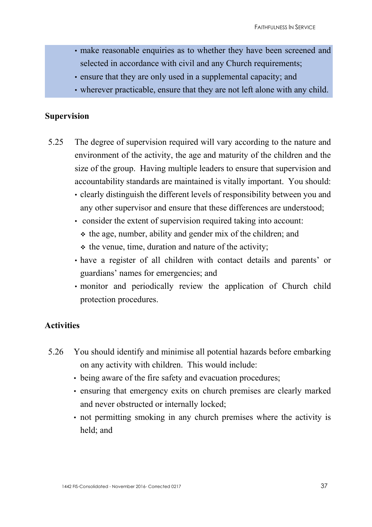- make reasonable enquiries as to whether they have been screened and selected in accordance with civil and any Church requirements;
- ensure that they are only used in a supplemental capacity; and
- wherever practicable, ensure that they are not left alone with any child.

#### **Supervision**

- 5.25 The degree of supervision required will vary according to the nature and environment of the activity, the age and maturity of the children and the size of the group. Having multiple leaders to ensure that supervision and accountability standards are maintained is vitally important. You should:
	- clearly distinguish the different levels of responsibility between you and any other supervisor and ensure that these differences are understood;
	- consider the extent of supervision required taking into account:
		- $\div$  the age, number, ability and gender mix of the children; and
		- $\cdot$  the venue, time, duration and nature of the activity;
	- have a register of all children with contact details and parents' or guardians' names for emergencies; and
	- monitor and periodically review the application of Church child protection procedures.

#### **Activities**

- 5.26 You should identify and minimise all potential hazards before embarking on any activity with children. This would include:
	- being aware of the fire safety and evacuation procedures;
	- ensuring that emergency exits on church premises are clearly marked and never obstructed or internally locked;
	- not permitting smoking in any church premises where the activity is held; and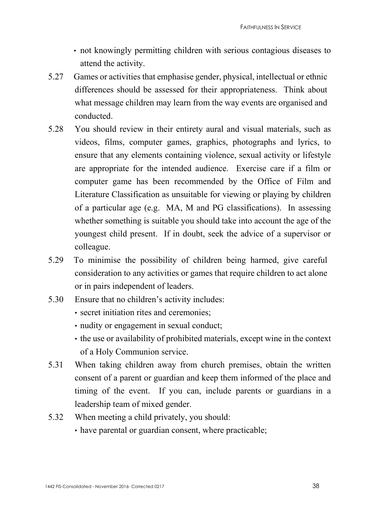- not knowingly permitting children with serious contagious diseases to attend the activity.
- 5.27 Games or activities that emphasise gender, physical, intellectual or ethnic differences should be assessed for their appropriateness. Think about what message children may learn from the way events are organised and conducted.
- 5.28 You should review in their entirety aural and visual materials, such as videos, films, computer games, graphics, photographs and lyrics, to ensure that any elements containing violence, sexual activity or lifestyle are appropriate for the intended audience. Exercise care if a film or computer game has been recommended by the Office of Film and Literature Classification as unsuitable for viewing or playing by children of a particular age (e.g. MA, M and PG classifications). In assessing whether something is suitable you should take into account the age of the youngest child present. If in doubt, seek the advice of a supervisor or colleague.
- 5.29 To minimise the possibility of children being harmed, give careful consideration to any activities or games that require children to act alone or in pairs independent of leaders.
- 5.30 Ensure that no children's activity includes:
	- secret initiation rites and ceremonies;
	- nudity or engagement in sexual conduct;
	- the use or availability of prohibited materials, except wine in the context of a Holy Communion service.
- 5.31 When taking children away from church premises, obtain the written consent of a parent or guardian and keep them informed of the place and timing of the event. If you can, include parents or guardians in a leadership team of mixed gender.
- 5.32 When meeting a child privately, you should:
	- have parental or guardian consent, where practicable;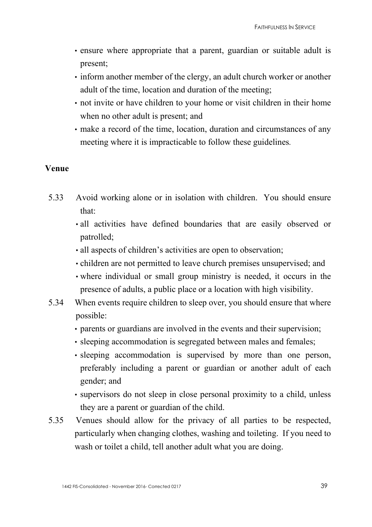- ensure where appropriate that a parent, guardian or suitable adult is present;
- inform another member of the clergy, an adult church worker or another adult of the time, location and duration of the meeting;
- not invite or have children to your home or visit children in their home when no other adult is present; and
- make a record of the time, location, duration and circumstances of any meeting where it is impracticable to follow these guidelines*.*

#### **Venue**

- 5.33 Avoid working alone or in isolation with children. You should ensure that:
	- all activities have defined boundaries that are easily observed or patrolled;
	- all aspects of children's activities are open to observation;
	- children are not permitted to leave church premises unsupervised; and
	- where individual or small group ministry is needed, it occurs in the presence of adults, a public place or a location with high visibility.
- 5.34 When events require children to sleep over, you should ensure that where possible:
	- parents or guardians are involved in the events and their supervision;
	- sleeping accommodation is segregated between males and females;
	- sleeping accommodation is supervised by more than one person, preferably including a parent or guardian or another adult of each gender; and
	- supervisors do not sleep in close personal proximity to a child, unless they are a parent or guardian of the child.
- 5.35 Venues should allow for the privacy of all parties to be respected, particularly when changing clothes, washing and toileting. If you need to wash or toilet a child, tell another adult what you are doing.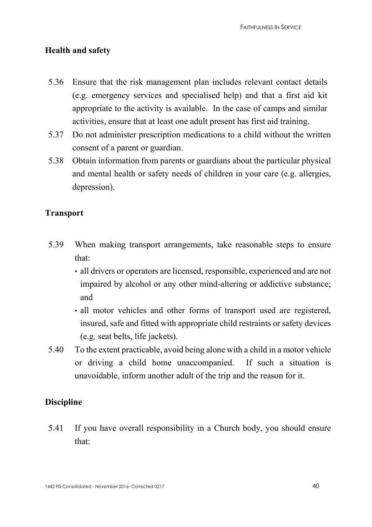#### **Health and safety**

- 5.36 Ensure that the risk management plan includes relevant contact details (e.g. emergency services and specialised help) and that a first aid kit appropriate to the activity is available. In the case of camps and similar activities, ensure that at least one adult present has first aid training.
- 5.37 Do not administer prescription medications to a child without the written consent of a parent or guardian.
- 5.38 Obtain information from parents or guardians about the particular physical and mental health or safety needs of children in your care (e.g. allergies, depression).

#### **Transport**

- 5.39 When making transport arrangements, take reasonable steps to ensure that:
	- all drivers or operators are licensed, responsible, experienced and are not impaired by alcohol or any other mind-altering or addictive substance; and
	- all motor vehicles and other forms of transport used are registered, insured, safe and fitted with appropriate child restraints or safety devices (e.g. seat belts, life jackets).
- 5.40 To the extent practicable, avoid being alone with a child in a motor vehicle or driving a child home unaccompanied. If such a situation is unavoidable, inform another adult of the trip and the reason for it.

## **Discipline**

5.41 If you have overall responsibility in a Church body, you should ensure that: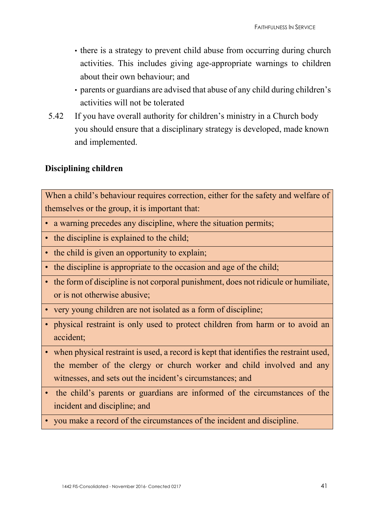- there is a strategy to prevent child abuse from occurring during church activities. This includes giving age-appropriate warnings to children about their own behaviour; and
- parents or guardians are advised that abuse of any child during children's activities will not be tolerated
- 5.42 If you have overall authority for children's ministry in a Church body you should ensure that a disciplinary strategy is developed, made known and implemented.

## **Disciplining children**

When a child's behaviour requires correction, either for the safety and welfare of themselves or the group, it is important that:

- a warning precedes any discipline, where the situation permits;
- the discipline is explained to the child;
- the child is given an opportunity to explain;
- the discipline is appropriate to the occasion and age of the child;
- the form of discipline is not corporal punishment, does not ridicule or humiliate, or is not otherwise abusive;
- very young children are not isolated as a form of discipline;
- physical restraint is only used to protect children from harm or to avoid an accident;
- when physical restraint is used, a record is kept that identifies the restraint used, the member of the clergy or church worker and child involved and any witnesses, and sets out the incident's circumstances; and
- the child's parents or guardians are informed of the circumstances of the incident and discipline; and
- you make a record of the circumstances of the incident and discipline.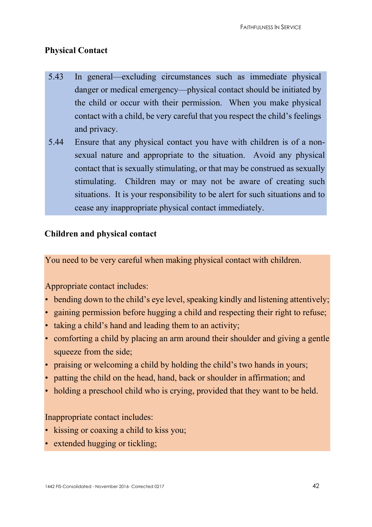## **Physical Contact**

- 5.43 In general—excluding circumstances such as immediate physical danger or medical emergency—physical contact should be initiated by the child or occur with their permission. When you make physical contact with a child, be very careful that you respect the child's feelings and privacy.
- 5.44 Ensure that any physical contact you have with children is of a nonsexual nature and appropriate to the situation. Avoid any physical contact that is sexually stimulating, or that may be construed as sexually stimulating. Children may or may not be aware of creating such situations. It is your responsibility to be alert for such situations and to cease any inappropriate physical contact immediately.

#### **Children and physical contact**

You need to be very careful when making physical contact with children.

Appropriate contact includes:

- bending down to the child's eye level, speaking kindly and listening attentively;
- gaining permission before hugging a child and respecting their right to refuse;
- taking a child's hand and leading them to an activity;
- comforting a child by placing an arm around their shoulder and giving a gentle squeeze from the side;
- praising or welcoming a child by holding the child's two hands in yours;
- patting the child on the head, hand, back or shoulder in affirmation; and
- holding a preschool child who is crying, provided that they want to be held.

#### Inappropriate contact includes:

- kissing or coaxing a child to kiss you;
- extended hugging or tickling;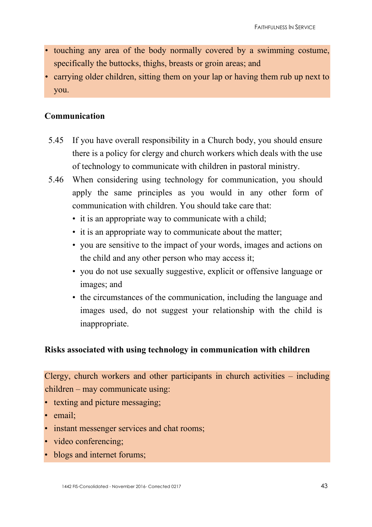- touching any area of the body normally covered by a swimming costume, specifically the buttocks, thighs, breasts or groin areas; and
- carrying older children, sitting them on your lap or having them rub up next to you.

## **Communication**

- 5.45 If you have overall responsibility in a Church body, you should ensure there is a policy for clergy and church workers which deals with the use of technology to communicate with children in pastoral ministry.
- 5.46 When considering using technology for communication, you should apply the same principles as you would in any other form of communication with children. You should take care that:
	- it is an appropriate way to communicate with a child;
	- it is an appropriate way to communicate about the matter;
	- you are sensitive to the impact of your words, images and actions on the child and any other person who may access it;
	- you do not use sexually suggestive, explicit or offensive language or images; and
	- the circumstances of the communication, including the language and images used, do not suggest your relationship with the child is inappropriate.

## **Risks associated with using technology in communication with children**

Clergy, church workers and other participants in church activities – including children – may communicate using:

- texting and picture messaging;
- email:
- instant messenger services and chat rooms;
- video conferencing;
- blogs and internet forums;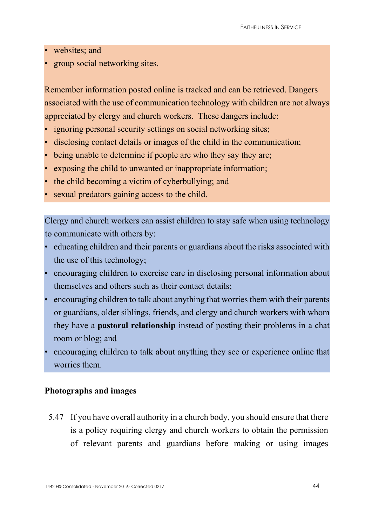- websites; and
- group social networking sites.

Remember information posted online is tracked and can be retrieved. Dangers associated with the use of communication technology with children are not always appreciated by clergy and church workers. These dangers include:

- ignoring personal security settings on social networking sites;
- disclosing contact details or images of the child in the communication;
- being unable to determine if people are who they say they are;
- exposing the child to unwanted or inappropriate information;
- the child becoming a victim of cyberbullying; and
- sexual predators gaining access to the child.

Clergy and church workers can assist children to stay safe when using technology to communicate with others by:

- educating children and their parents or guardians about the risks associated with the use of this technology;
- encouraging children to exercise care in disclosing personal information about themselves and others such as their contact details;
- encouraging children to talk about anything that worries them with their parents or guardians, older siblings, friends, and clergy and church workers with whom they have a **pastoral relationship** instead of posting their problems in a chat room or blog; and
- encouraging children to talk about anything they see or experience online that worries them.

#### **Photographs and images**

5.47 If you have overall authority in a church body, you should ensure that there is a policy requiring clergy and church workers to obtain the permission of relevant parents and guardians before making or using images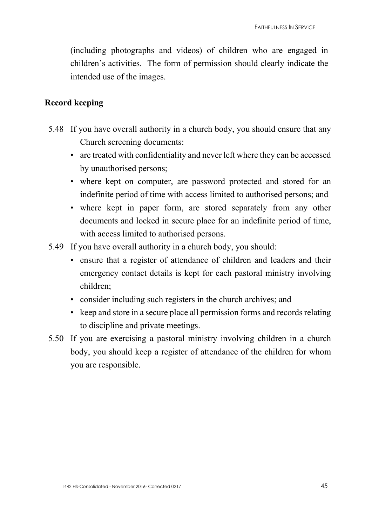(including photographs and videos) of children who are engaged in children's activities. The form of permission should clearly indicate the intended use of the images.

#### **Record keeping**

- 5.48 If you have overall authority in a church body, you should ensure that any Church screening documents:
	- are treated with confidentiality and never left where they can be accessed by unauthorised persons;
	- where kept on computer, are password protected and stored for an indefinite period of time with access limited to authorised persons; and
	- where kept in paper form, are stored separately from any other documents and locked in secure place for an indefinite period of time, with access limited to authorised persons.
- 5.49 If you have overall authority in a church body, you should:
	- ensure that a register of attendance of children and leaders and their emergency contact details is kept for each pastoral ministry involving children;
	- consider including such registers in the church archives; and
	- keep and store in a secure place all permission forms and records relating to discipline and private meetings.
- 5.50 If you are exercising a pastoral ministry involving children in a church body, you should keep a register of attendance of the children for whom you are responsible.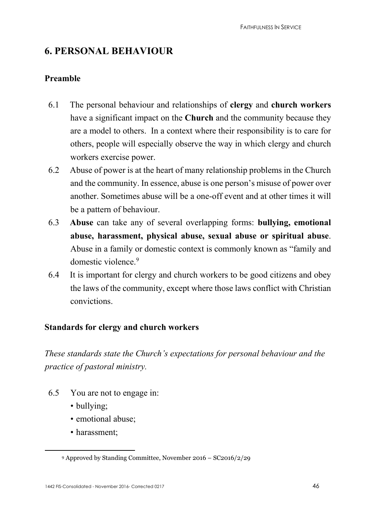# **6. PERSONAL BEHAVIOUR**

## **Preamble**

- 6.1 The personal behaviour and relationships of **clergy** and **church workers** have a significant impact on the **Church** and the community because they are a model to others. In a context where their responsibility is to care for others, people will especially observe the way in which clergy and church workers exercise power.
- 6.2 Abuse of power is at the heart of many relationship problems in the Church and the community. In essence, abuse is one person's misuse of power over another. Sometimes abuse will be a one-off event and at other times it will be a pattern of behaviour.
- 6.3 **Abuse** can take any of several overlapping forms: **bullying, emotional abuse, harassment, physical abuse, sexual abuse or spiritual abuse**. Abuse in a family or domestic context is commonly known as "family and domestic violence<sup>[9](#page-45-0)</sup>
- 6.4 It is important for clergy and church workers to be good citizens and obey the laws of the community, except where those laws conflict with Christian convictions.

## **Standards for clergy and church workers**

*These standards state the Church's expectations for personal behaviour and the practice of pastoral ministry.* 

- 6.5 You are not to engage in:
	- bullying;
	- emotional abuse;
	- harassment;

<span id="page-45-0"></span><sup>9</sup> Approved by Standing Committee, November 2016 – SC2016/2/29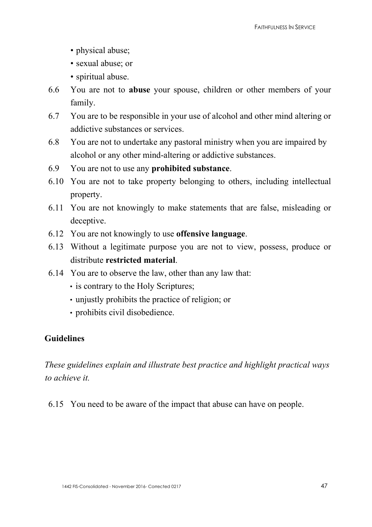- physical abuse;
- sexual abuse; or
- spiritual abuse.
- 6.6 You are not to **abuse** your spouse, children or other members of your family.
- 6.7 You are to be responsible in your use of alcohol and other mind altering or addictive substances or services.
- 6.8 You are not to undertake any pastoral ministry when you are impaired by alcohol or any other mind-altering or addictive substances.
- 6.9 You are not to use any **prohibited substance**.
- 6.10 You are not to take property belonging to others, including intellectual property.
- 6.11 You are not knowingly to make statements that are false, misleading or deceptive.
- 6.12 You are not knowingly to use **offensive language**.
- 6.13 Without a legitimate purpose you are not to view, possess, produce or distribute **restricted material**.
- 6.14 You are to observe the law, other than any law that:
	- is contrary to the Holy Scriptures;
	- unjustly prohibits the practice of religion; or
	- prohibits civil disobedience.

## **Guidelines**

*These guidelines explain and illustrate best practice and highlight practical ways to achieve it.* 

6.15 You need to be aware of the impact that abuse can have on people.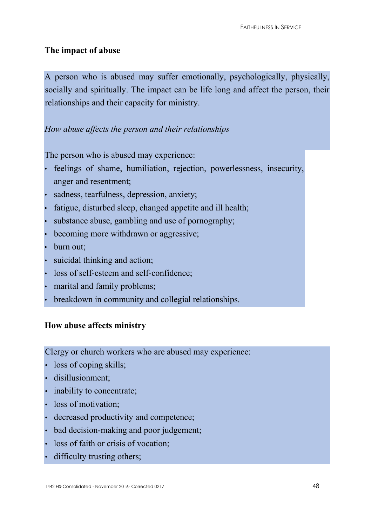#### **The impact of abuse**

A person who is abused may suffer emotionally, psychologically, physically, socially and spiritually. The impact can be life long and affect the person, their relationships and their capacity for ministry.

## *How abuse affects the person and their relationships*

The person who is abused may experience:

- feelings of shame, humiliation, rejection, powerlessness, insecurity, anger and resentment;
- sadness, tearfulness, depression, anxiety;
- fatigue, disturbed sleep, changed appetite and ill health;
- substance abuse, gambling and use of pornography;
- becoming more withdrawn or aggressive;
- burn out:
- suicidal thinking and action;
- loss of self-esteem and self-confidence;
- marital and family problems;
- breakdown in community and collegial relationships.

## **How abuse affects ministry**

Clergy or church workers who are abused may experience:

- loss of coping skills;
- disillusionment:
- inability to concentrate;
- loss of motivation;
- decreased productivity and competence;
- bad decision-making and poor judgement;
- loss of faith or crisis of vocation;
- difficulty trusting others;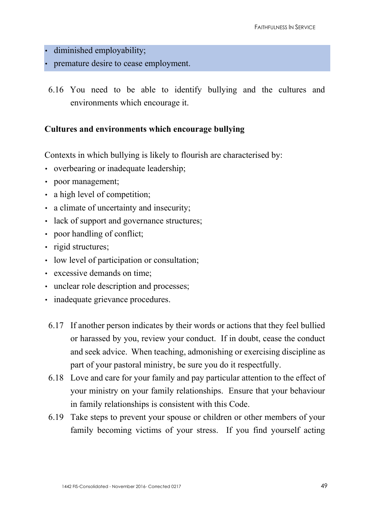- diminished employability;
- premature desire to cease employment.
- 6.16 You need to be able to identify bullying and the cultures and environments which encourage it.

#### **Cultures and environments which encourage bullying**

Contexts in which bullying is likely to flourish are characterised by:

- overbearing or inadequate leadership;
- poor management;
- a high level of competition;
- a climate of uncertainty and insecurity;
- lack of support and governance structures;
- poor handling of conflict:
- rigid structures;
- low level of participation or consultation;
- excessive demands on time;
- unclear role description and processes;
- inadequate grievance procedures.
- 6.17 If another person indicates by their words or actions that they feel bullied or harassed by you, review your conduct. If in doubt, cease the conduct and seek advice. When teaching, admonishing or exercising discipline as part of your pastoral ministry, be sure you do it respectfully.
- 6.18 Love and care for your family and pay particular attention to the effect of your ministry on your family relationships. Ensure that your behaviour in family relationships is consistent with this Code.
- 6.19 Take steps to prevent your spouse or children or other members of your family becoming victims of your stress. If you find yourself acting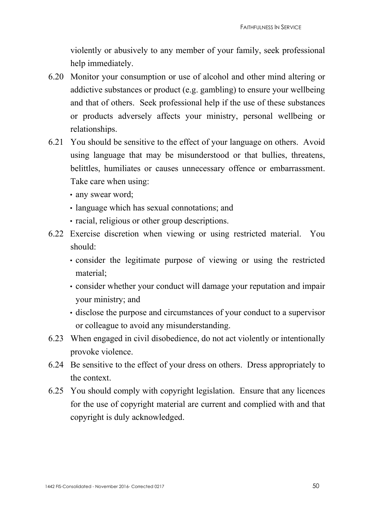violently or abusively to any member of your family, seek professional help immediately.

- 6.20 Monitor your consumption or use of alcohol and other mind altering or addictive substances or product (e.g. gambling) to ensure your wellbeing and that of others. Seek professional help if the use of these substances or products adversely affects your ministry, personal wellbeing or relationships.
- 6.21 You should be sensitive to the effect of your language on others. Avoid using language that may be misunderstood or that bullies, threatens, belittles, humiliates or causes unnecessary offence or embarrassment. Take care when using:
	- any swear word;
	- language which has sexual connotations; and
	- racial, religious or other group descriptions.
- 6.22 Exercise discretion when viewing or using restricted material. You should:
	- consider the legitimate purpose of viewing or using the restricted material;
	- consider whether your conduct will damage your reputation and impair your ministry; and
	- disclose the purpose and circumstances of your conduct to a supervisor or colleague to avoid any misunderstanding.
- 6.23 When engaged in civil disobedience, do not act violently or intentionally provoke violence.
- 6.24 Be sensitive to the effect of your dress on others.Dress appropriately to the context.
- 6.25 You should comply with copyright legislation. Ensure that any licences for the use of copyright material are current and complied with and that copyright is duly acknowledged.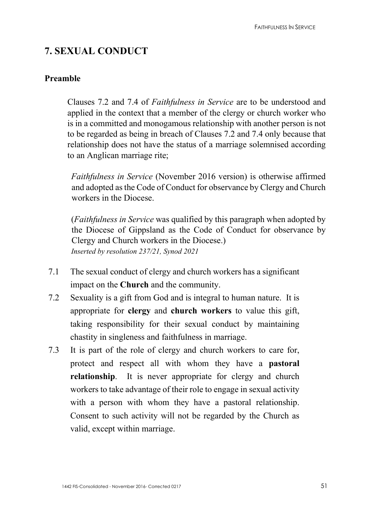# **7. SEXUAL CONDUCT**

## **Preamble**

Clauses 7.2 and 7.4 of *Faithfulness in Service* are to be understood and applied in the context that a member of the clergy or church worker who is in a committed and monogamous relationship with another person is not to be regarded as being in breach of Clauses 7.2 and 7.4 only because that relationship does not have the status of a marriage solemnised according to an Anglican marriage rite;

*Faithfulness in Service* (November 2016 version) is otherwise affirmed and adopted as the Code of Conduct for observance by Clergy and Church workers in the Diocese.

(*Faithfulness in Service* was qualified by this paragraph when adopted by the Diocese of Gippsland as the Code of Conduct for observance by Clergy and Church workers in the Diocese.) *Inserted by resolution 237/21, Synod 2021*

- 7.1 The sexual conduct of clergy and church workers has a significant impact on the **Church** and the community.
- 7.2 Sexuality is a gift from God and is integral to human nature. It is appropriate for **clergy** and **church workers** to value this gift, taking responsibility for their sexual conduct by maintaining chastity in singleness and faithfulness in marriage.
- 7.3 It is part of the role of clergy and church workers to care for, protect and respect all with whom they have a **pastoral relationship**. It is never appropriate for clergy and church workers to take advantage of their role to engage in sexual activity with a person with whom they have a pastoral relationship. Consent to such activity will not be regarded by the Church as valid, except within marriage.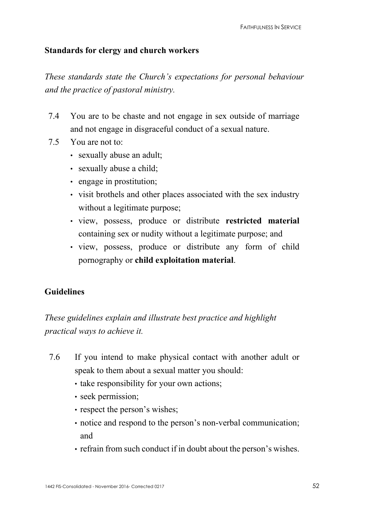#### **Standards for clergy and church workers**

*These standards state the Church's expectations for personal behaviour and the practice of pastoral ministry.* 

- 7.4 You are to be chaste and not engage in sex outside of marriage and not engage in disgraceful conduct of a sexual nature.
- 7.5 You are not to:
	- sexually abuse an adult;
	- sexually abuse a child;
	- engage in prostitution;
	- visit brothels and other places associated with the sex industry without a legitimate purpose;
	- view, possess, produce or distribute **restricted material** containing sex or nudity without a legitimate purpose; and
	- view, possess, produce or distribute any form of child pornography or **child exploitation material**.

#### **Guidelines**

*These guidelines explain and illustrate best practice and highlight practical ways to achieve it.* 

- 7.6 If you intend to make physical contact with another adult or speak to them about a sexual matter you should:
	- take responsibility for your own actions;
	- seek permission;
	- respect the person's wishes;
	- notice and respond to the person's non-verbal communication; and
	- refrain from such conduct if in doubt about the person's wishes.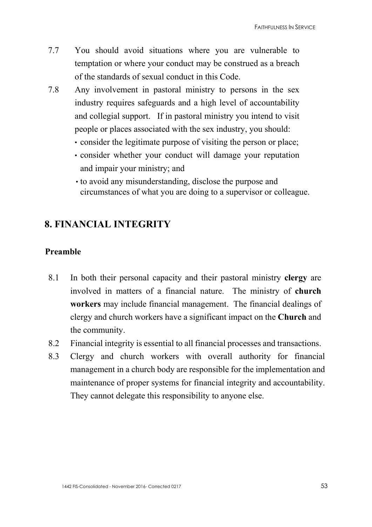- 7.7 You should avoid situations where you are vulnerable to temptation or where your conduct may be construed as a breach of the standards of sexual conduct in this Code.
- 7.8 Any involvement in pastoral ministry to persons in the sex industry requires safeguards and a high level of accountability and collegial support. If in pastoral ministry you intend to visit people or places associated with the sex industry, you should:
	- consider the legitimate purpose of visiting the person or place;
	- consider whether your conduct will damage your reputation and impair your ministry; and
	- to avoid any misunderstanding, disclose the purpose and circumstances of what you are doing to a supervisor or colleague.

# **8. FINANCIAL INTEGRITY**

#### **Preamble**

- 8.1 In both their personal capacity and their pastoral ministry **clergy** are involved in matters of a financial nature. The ministry of **church workers** may include financial management. The financial dealings of clergy and church workers have a significant impact on the **Church** and the community.
- 8.2 Financial integrity is essential to all financial processes and transactions.
- 8.3 Clergy and church workers with overall authority for financial management in a church body are responsible for the implementation and maintenance of proper systems for financial integrity and accountability. They cannot delegate this responsibility to anyone else.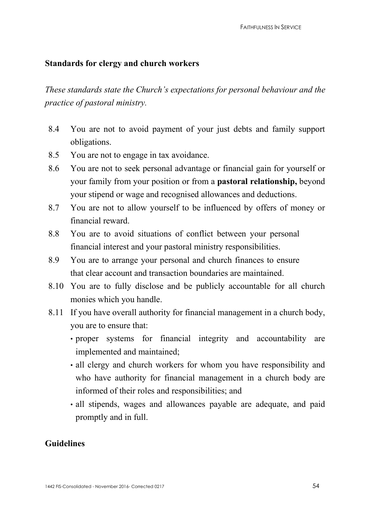## **Standards for clergy and church workers**

*These standards state the Church's expectations for personal behaviour and the practice of pastoral ministry.* 

- 8.4 You are not to avoid payment of your just debts and family support obligations.
- 8.5 You are not to engage in tax avoidance.
- 8.6 You are not to seek personal advantage or financial gain for yourself or your family from your position or from a **pastoral relationship,** beyond your stipend or wage and recognised allowances and deductions.
- 8.7 You are not to allow yourself to be influenced by offers of money or financial reward.
- 8.8 You are to avoid situations of conflict between your personal financial interest and your pastoral ministry responsibilities.
- 8.9 You are to arrange your personal and church finances to ensure that clear account and transaction boundaries are maintained.
- 8.10 You are to fully disclose and be publicly accountable for all church monies which you handle.
- 8.11 If you have overall authority for financial management in a church body, you are to ensure that:
	- proper systems for financial integrity and accountability are implemented and maintained;
	- all clergy and church workers for whom you have responsibility and who have authority for financial management in a church body are informed of their roles and responsibilities; and
	- all stipends, wages and allowances payable are adequate, and paid promptly and in full.

## **Guidelines**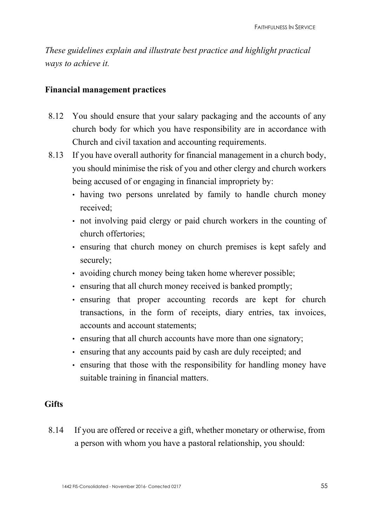*These guidelines explain and illustrate best practice and highlight practical ways to achieve it.* 

#### **Financial management practices**

- 8.12 You should ensure that your salary packaging and the accounts of any church body for which you have responsibility are in accordance with Church and civil taxation and accounting requirements.
- 8.13 If you have overall authority for financial management in a church body, you should minimise the risk of you and other clergy and church workers being accused of or engaging in financial impropriety by:
	- having two persons unrelated by family to handle church money received;
	- not involving paid clergy or paid church workers in the counting of church offertories;
	- ensuring that church money on church premises is kept safely and securely;
	- avoiding church money being taken home wherever possible;
	- ensuring that all church money received is banked promptly;
	- ensuring that proper accounting records are kept for church transactions, in the form of receipts, diary entries, tax invoices, accounts and account statements;
	- ensuring that all church accounts have more than one signatory;
	- ensuring that any accounts paid by cash are duly receipted; and
	- ensuring that those with the responsibility for handling money have suitable training in financial matters.

## **Gifts**

8.14 If you are offered or receive a gift, whether monetary or otherwise, from a person with whom you have a pastoral relationship, you should: